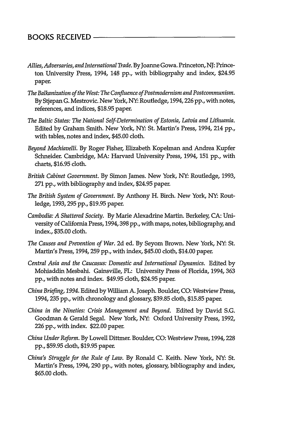- *Allies, Adversaries, and International Trade.* By Joanne Gowa. Princeton, NJ: Princeton University Press, 1994, 148 pp., with bibliogrpahy and index, \$24.95 paper.
- *The Balkanization of the West: The Confluence of Postmodernism and Postcommunism.* By Stjepan G. Mestrovic. New York, NY: Routledge, 1994,226 pp., with notes, references, and indices, \$18.95 paper.
- *The Baltic States: The National Self-Determination of Estonia, Latvia and Lithuania.* Edited by Graham Smith. New York, NY. St. Martin's Press, 1994, 214 pp., with tables, notes and index, \$45.00 cloth.
- *Beyond Machiavelli.* By Roger Fisher, Elizabeth Kopelman and Andrea Kupfer Schneider. Cambridge, MA: Harvard University Press, 1994, 151 pp., with charts, \$16.95 cloth.
- *British Cabinet Government.* By Simon James. New York, NY: Routledge, 1993, **271** pp., with bibliography and index, \$24.95 paper.
- *The British System of Government.* By Anthony H. Birch. New York, NY: Routledge, 1993,295 pp., \$19.95 paper.
- *Cambodia: A Shattered Society.* By Marie Alexadrine Martin. Berkeley, CA: University of California Press, 1994,398 pp., with maps, notes, bibliography, and index., \$35.00 cloth.
- *The Causes and Prevention of War.* 2d ed. By Seyom Brown. New York, NY: St. Martin's Press, 1994, 259 pp., with index, \$45.00 cloth, \$14.00 paper.
- *Central Asia and the Caucasus: Domestic and International Dynamics.* Edited by Mohiaddin Mesbahi. Gainsville, FL: University Press of Florida, 1994, 363 pp., with notes and index. \$49.95 cloth, \$24.95 paper.
- *China Briefing, 1994.* Edited by William A. Joseph. Boulder, CO: Westview Press, 1994, 235 pp., with chronology and glossary, \$39.85 cloth, \$15.85 paper.
- *China in the Nineties: Crisis Management and Beyond.* Edited by David **S.G.** Goodman & Gerald Segal. New York, NY: Oxford University Press, 1992, 226 pp., with index. \$22.00 paper.
- *China Under Reform.* By Lowell Dittmer. Boulder, CO: Westview Press, 1994,228 pp., \$59.95 cloth, \$19.95 paper.
- *China's Struggle for the Rule of Law.* By Ronald C. Keith. New York, NY: St. Martin's Press, 1994, 290 pp., with notes, glossary, bibliography and index, \$65.00 cloth.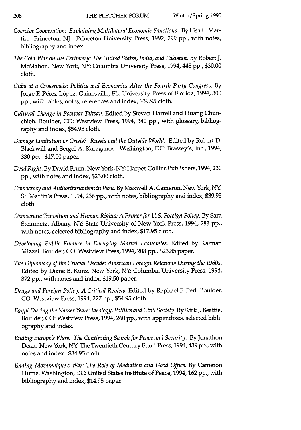- *Coercive Cooperation: Explaining Multilateral Economic Sanctions.* **By** Lisa L. Martin. Princeton, **NJ:** Princeton University Press, **1992, 299 pp.,** with notes, bibliography and index.
- *The Cold War on the Periphery: The United States, India, and Pakistan.* **By** Robert **J.** McMahon. New York, **NY:** Columbia University Press, 1994, 448 **pp., \$30.00** cloth.
- *Cuba at a Crossroads: Politics and Economics After the Fourth Party Congress.* **By** Jorge F. Pérez-López. Gainesville, FL: University Press of Florida, 1994, 300 **pp.,** with tables, notes, references and index, **\$39.95** cloth.
- *Cultural Change in Postwar Taiwan.* Edited **by** Stevan Harrell and Huang Chunchieh. Boulder, **CO:** Westview Press, 1994, 340 **pp.,** with glossary, bibliography and index, \$54.95 cloth.
- *Damage Limitation or Crisis? Russia and the Outside World.* Edited **by** Robert **D.** Blackwill and Sergei **A.** Karaganov. Washington, **DC:** Brassey's, Inc., 1994, **330 pp., \$17.00** paper.
- *Dead Right.* **By** David Frum. New York, **NY:** Harper Collins Publishers, 1994,230 **pp.,** with notes and index, **\$23.00** cloth.
- *Democracy and Authoritarianism in Peru.* **By** Maxwell **A.** Cameron. New York, **NY:** St. Martin's Press, 1994, **236 pp.,** with notes, bibliography and index, **\$39.95** cloth.
- *Democratic Transition and Human Rights: A Primer for U.S. Foreign Policy.* By Sara Steinmetz. Albany, NY: State University of New York Press, 1994, 283 pp., with notes, selected bibliography and index, \$17.95 cloth.
- *Developing Public Finance in Emerging Market Economies.* Edited by Kalman Mizzei. Boulder, CO: Westview Press, 1994, 208 pp., \$23.85 paper.
- *The Diplomacy of the Crucial Decade: American Foreign Relations During the 1960s.* Edited by Diane B. Kunz. New York, NY: Columbia University Press, 1994, 372 pp., with notes and index, \$19.50 paper.
- *Drugs and Foreign Policy: A Critical Review.* Edited by Raphael F. Perl. Boulder, CO: Westview Press, 1994, 227 pp., \$54.95 cloth.
- *Egypt During the Nasser Years: Ideology, Politics and Civil Society.* By Kirk J. Beattie. Boulder, CO: Westview Press, 1994,260 pp., with appendixes, selected bibliography and index.
- *Ending Europe's Wars: The Continuing Search for Peace and Security.* By Jonathon Dean. New York, NY: The Twentieth Century Fund Press, 1994,439 pp., with notes and index. \$34.95 cloth.
- *Ending Mozambique's War: The Role of Mediation and Good Office.* By Cameron Hume. Washington, DC: United States Institute of Peace, 1994, 162 pp., with bibliography and index, \$14.95 paper.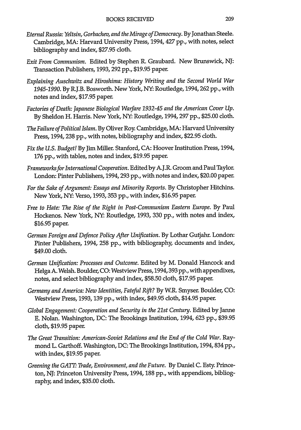- *Eternal Russia: Yeltsin, Gorbachev, and the Mirage of Democracy.* **By** Jonathan Steele. Cambridge, MA: Harvard University Press, 1994, 427 **pp.,** with notes, select bibliography and index, **\$27.95** cloth.
- *Exit From Communism.* Edited **by** Stephen R. Graubard. New Brunswick, **NJ:** Transaction Publishers, **1993, 292 pp., \$19.95** paper.
- *Explaining Auschwitz and Hiroshima: History Writing and the Second World War 1945-1990.* **By** R.J.B. Bosworth. New York, **NY:** Routledge, 1994,262 **pp.,** with notes and index, \$17.95 paper.
- *Factories of Death: Japanese Biological Warfare 1932-45 and the American Cover Up.* By Sheldon H. Harris. New York, NY: Routledge, 1994,297 pp., \$25.00 cloth.
- *The Failure of Political Islam.* By Oliver Roy. Cambridge, MA: Harvard University Press, 1994, 238 pp., with notes, bibliography and index, \$22.95 cloth.
- *Fix the U.S. Budget!* By Jim Miller. Stanford, CA: Hoover Institution Press, 1994, 176 pp., with tables, notes and index, \$19.95 paper.
- *Frameworks for International Cooperation.* Edited by A.J.R. Groom and Paul Taylor. London: Pinter Publishers, 1994,293 pp., with notes and index, \$20.00 paper.
- *For the Sake of Argument: Essays and Minority Reports.* **By** Christopher Hitchins. New York, **NY:** Verso, **1993,353 pp.,** with index, **\$16.95** paper.
- *Free to Hate: The Rise of the Right in Post-Communism Eastern Europe.* **By** Paul Hockenos. New York, **NY:** Routledge, **1993, 330 pp.,** with notes and index, **\$16.95** paper.
- *German Foreign and Defence Policy After Unification.* **By** Lothar Gutjahr. London: Pinter Publishers, 1994, **258 pp.,** with bibliography, documents and index, \$49.00 cloth.
- *German Unification: Processes and Outcome.* Edited by M. Donald Hancock and Helga A. Welsh. Boulder, CO: Westview Press, 1994,393 pp., with appendixes, notes, and select bibliography and index, \$58.50 cloth, \$17.95 paper.
- *Germany and America: New Identities, Fateful Rift?* By W.R. Smyser. Boulder, CO: Westview Press, 1993, 139 pp., with index, \$49.95 cloth, \$14.95 paper.
- *Global Engagement: Cooperation and Security in the 21st Century.* Edited by Janne E. Nolan. Washington, DC: The Brookings Institution, 1994, 623 pp., \$39.95 cloth, \$19.95 paper.
- The Great Transition: American-Soviet Relations and the End of the Cold War. Raymond L. Garthoff. Washington, DC: The Brookings Institution, 1994,834 pp., with index, \$19.95 paper.
- *Greening the GAT. Trade, Environment, and the Future.* By Daniel C. Esty. Princeton, NJ: Princeton University Press, 1994, **188** pp., with appendices, bibliography, and index, \$35.00 cloth.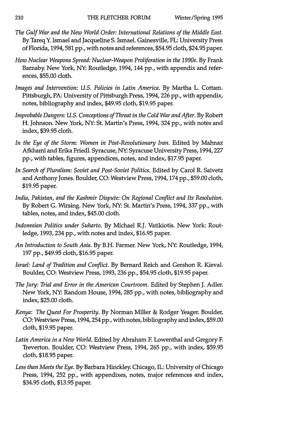- *The Gulf War and the New World Order: International Relations of the Middle East.* **By** Tareq **Y.** Ismael and Jacqueline **S.** Ismael. Gainesville, FL: University Press of Florida, **1994,581 pp.,** with notes and references, \$54.95 cloth, \$24.95 paper.
- *How Nuclear Weapons Spread: Nuclear-Weapon Proliferation in the 1990s.* **By** Frank Barnaby. New York, **NY:** Routledge, 1994, 144 **pp.,** with appendix and references, **\$55.00** cloth.
- *Images and Intervention: U.S. Policies in Latin America.* **By** Martha L. Cottam. Pittsburgh, PA: University of Pittsburgh Press, 1994,226 **pp.,** with appendix, notes, bibliography and index, \$49.95 cloth, **\$19.95** paper.
- *Improbable Dangers: U.S. Conceptions of Threat in the Cold War and After.* **By** Robert H. Johnson. New York, **NY:** St. Martin's Press, 1994, 324 **pp.,** with notes and index, **\$39.95** cloth.
- *In the Eye of the Storm: Women in Post-Revolutionary Iran.* Edited **by** Mahnaz Afkhami and Erika Friedl. Syracuse, **NY:** Syracuse University Press, **1994,227 pp.,** with tables, figures, appendices, notes, and index, **\$17.95** paper.
- *In Search of Pluralism: Soviet and Post-Soviet Politics.* Edited **by** Carol R. Saivetz and Anthony Jones. Boulder, **CO:** Westview Press, 1994,174 **pp., \$59.00** cloth, **\$19.95** paper.
- *India, Pakistan, and the Kashmir Dispute: On Regional Conflict and Its Resolution.* **By** Robert **G.** Wirsing. New York, **NY:** St. Martin's Press, **1994, 337 pp.,** with tables, notes, and index, \$45.00 cloth.
- *Indonesian Politics under Suharto.* **By** Michael R.J. Vatikiotis. New York: Routledge, **1993,** 234 **pp.,** with notes and index, **\$16.95** paper.
- *An Introduction to South Asia.* **By** B.H. Farmer. New York, **NY:** Routledge, 1994, **197 pp.,** \$49.95 cloth, **\$16.95** paper.
- *Israel: Land of Tradition and Conflict.* **By** Bernard Reich and Gershon R. Kieval. Boulder, **CO:** Westview Press, **1993, 236 pp.,** \$54.95 cloth, **\$19.95** paper.
- *The Jury: Trial and Error in the American Courtroom.* Edited **by** Stephen **J.** Adler. New York, **NY:** Random House, **1994, 285 pp.,** with notes, bibliography and index, **\$25.00** cloth.
- *Kenya: The Quest For Prosperity.* **By** Norman Miller **&** Rodger Yeager. Boulder, **CO:** Westview Press, 1994,254 **pp.,** with notes, bibliography and index, **\$59.00** cloth, **\$19.95** paper.
- Latin America in a New World. Edited by Abraham F. Lowenthal and Gregory F. Treverton. Boulder, **CO:** Westview Press, 1994, **265 pp.,** with index, **\$59.95** cloth, **\$18.95** paper.
- *Less than Meets the Eye.* **By** Barbara Hinckley Chicago, IL: University of Chicago Press, 1994, **252 pp.,** with appendixes, notes, major references and index, \$34.95 cloth, **\$13.95** paper.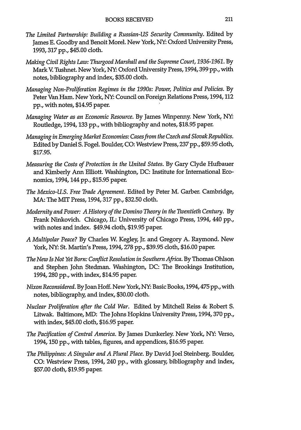- *The Limited Partnership: Building a Russian-US Security Community.* Edited **by** James **E.** Goodby and Benoit Morel. New York, **NY:** Oxford University Press, **1993, 317 pp.,** \$45.00 cloth.
- *Making Civil Rights Law: Thurgood Marshall and the Supreme Court, 1936-1961.* **By** Mark **V.** Tushnet. New York, **NY:** Oxford University Press, **1994,399** pp., with notes, bibliography and index, **\$35.00** cloth.
- *Managing Non-Proliferation Regimes in the 1990s: Power, Politics and Policies.* **By** Peter Van Ham. New York, **NY:** Council on Foreign Relations Press, 1994,112 **pp.,** with notes, \$14.95 paper.
- *Managing Water as an Economic Resource.* **By** James Wimpenny. New York, **NY:** Routledge, 1994, 133 **pp.,** with bibliography and notes, **\$18.95** paper.
- *Managing in Emerging Market Economies: Cases from the Czech and Slovak Republics.* Edited **by** Daniel **S.** Fogel. Boulder, **CO:** Westview Press, **237 pp., \$59.95** cloth, **\$17.95.**
- *Measuring the Costs of Protection in the United States.* **By** Gary Clyde Hufbauer and Kimberly Ann Elliott. Washington, **DC:** Institute for International Economics, 1994, 144 **pp., \$15.95** paper.
- *The Mexico-U.S. Free Trade Agreement.* Edited **by** Peter M. Garber. Cambridge, MA: The MIT Press, **1994, 317 pp., \$32.50** cloth.
- *Modernity and Power: A History of the Domino Theory in the Twentieth Century.* **By** Frank Ninkovich. Chicago, IL: University of Chicago Press, 1994, 440 pp., with notes and index. \$49.94 cloth, **\$19.95** paper.
- *A Multipolar Peace?* **By** Charles W. Kegley, Jr. and Gregory **A.** Raymond. New York, **NY:** St. Martin's Press, **1994, 278 pp., \$39.95** cloth, **\$16.00** paper.
- *The New Is Not Yet Born: Conflict Resolution in Southern Africa.* By Thomas Ohlson and Stephen John Stedman. Washington, **DC:** The Brookings Institution, 1994,280 **pp.,** with index, \$14.95 paper.
- *Nixon Reconsidered.* By Joan Hoff. New York, **NY:** Basic Books, 1994,475 **pp.,** with notes, bibliography, and index, **\$30.00** cloth.
- *Nuclear Proliferation after the Cold War.* Edited **by** Mitchell Reiss **&** Robert **S.** Litwak. Baltimore, MD: The Johns Hopkins University Press, 1994,370 **pp.,** with index, \$45.00 cloth, \$16.95 paper.
- *The Pacification of Central America.* By James Dunkerley. New York, NY: Verso, 1994, 150 pp., with tables, figures, and appendices, \$16.95 paper.
- *The Philippines: A Singular and A Plural Place.* By David Joel Steinberg. Boulder, CO: Westview Press, 1994, 240 pp., with glossary bibliography and index, \$57.00 cloth, \$19.95 paper.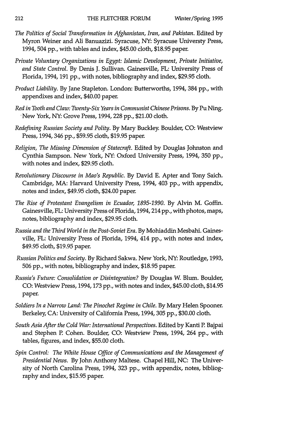- *The Politics of Social Transformation in Afghanistan, Iran, and Pakistan.* Edited **by** Myron Weiner and Ali Banuazizi. Syracuse, NY: Syracuse Universty Press, 1994, 504 pp., with tables and index, \$45.00 cloth, \$18.95 paper.
- *Private Voluntary Organizations in Egypt: Islamic Development, Private Initiative, and State Control.* By Denis J. Sullivan. Gainesville, FL: University Press of Florida, 1994, 191 pp., with notes, bibliography and index, \$29.95 cloth.
- *Product Liability.* By Jane Stapleton. London: Butterworths, 1994, 384 pp., with appendixes and index, \$40.00 paper.
- *Red in Tooth and Claw: Twenty-Six Years in Communist Chinese Prisons.* By Pu Ning. 'New York, NY: Grove Press, 1994, 228 pp., \$21.00 cloth.
- *Redefining Russian Society and Polity.* By Mary Buckley. Boulder, CO: Westview Press, 1994,346 pp., \$59.95 cloth, \$19.95 paper.
- *Religion, The Missing Dimension of Statecraft.* Edited by Douglas Johnston and Cynthia Sampson. New York, NY: Oxford University Press, 1994, 350 pp., with notes and index, \$29.95 cloth.
- *Revolutionary Discourse in Mao's Republic.* By David E. Apter and Tony Saich. Cambridge, MA: Harvard University Press, 1994, 403 pp., with appendix, notes and index, \$49.95 cloth, \$24.00 paper.
- *The Rise of Protestant Evangelism in Ecuador, 1895-1990.* By Alvin M. Goffin. Gainesville, FL: University Press of Florida, 1994,214 pp., with photos, maps, notes, bibliography and index, \$29.95 cloth.
- *Russia and the Third World in the Post-Soviet Era.* By Mohiaddin Mesbahi. Gainesville, FL: University Press of Florida, 1994, 414 pp., with notes and index, \$49.95 cloth, \$19.95 paper.
- *Russian Politics and Society.* By Richard Sakwa. New York, NY: Routledge, 1993, 506 pp., with notes, bibliography and index, \$18.95 paper.
- *Russia's Future: Consolidation or Disintegration?* By Douglas W. Blum. Boulder, CO: Westview Press, 1994,173 pp., with notes and index, \$45.00 cloth, \$14.95 paper.
- Soldiers In a Narrow Land: The Pinochet Regime in Chile. By Mary Helen Spooner. Berkeley, CA: University of California Press, 1994, 305 pp., \$30.00 cloth.
- South Asia After the Cold War: International Perspectives. Edited by Kanti P. Bajpai and Stephen P. Cohen. Boulder, CO: Westview Press, 1994, 264 pp., with tables, figures, and index, \$55.00 cloth.
- *Spin Control: The White House Office of Communications and the Management of Presidential News.* By John Anthony Maltese. Chapel Hill, NC: The University of North Carolina Press, 1994, 323 pp., with appendix, notes, bibliography and index, \$15.95 paper.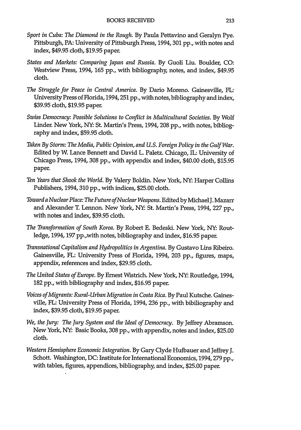- *Sport in Cuba: The Diamond in the Rough.* **By** Paula Pettavino and Geralyn Pye. Pittsburgh, PA: University of Pittsburgh Press, 1994,301 **pp.,** with notes and index, \$49.95 cloth, **\$19.95** paper.
- *States and Markets: Comparing Japan and Russia.* **By** Guoli Liu. Boulder, **CO:** Westview Press, 1994, **165 pp.,** with bibliography, notes, and index, \$49.95 cloth.
- *The Struggle for Peace in Central America.* **By** Dario Moreno. Gainesville, FL: University Press of Florida, 1994,251 **pp.,** with notes, bibliography and index, **\$39.95** cloth, **\$19.95** paper.
- *Swiss Democracy: Possible Solutions to Conflict in Multicultural Societies.* **By** Wolf Linder. New York, **NY:** St. Martin's Press, 1994, **208 pp.,** with notes, bibliography and index, **\$59.95** cloth.
- *Taken By Storm: The Media, Public Opinion, and U.S. Foreign Policy in the Gulf War.* Edited **by** W. Lance Bennett and David L. Paletz. Chicago, IL: University of Chicago Press, **1994, 308 pp.,** with appendix and index, \$40.00 cloth, **\$15.95** paper.
- *Ten Years that Shook the World.* **By** Valery Boldin. New York, **NY:** Harper Collins Publishers, 1994,310 **pp.,** with indices, **\$25.00** cloth.
- *Toward a Nuclear Place: The Future of Nuclear Weapons.* Edited **by** Michael J. Mazarr and Alexander T. Lennon. New York, **NY:** St. Martin's Press, 1994, **227 pp.,** with notes and index, **\$39.95** cloth.
- *The Transformation of South Korea.* **By** Robert **E.** Bedeski. New York, **NY:** Routledge, **1994, 197** pp.,with notes, bibliography and index, **\$16.95** paper.
- *Transnational Capitalism and Hydropolitics in Argentina.* **By** Gustavo Lins Ribeiro. Gainesville, FL: University Press of Florida, 1994, **203 pp.,** figures, maps, appendix, references and index, **\$29.95** cloth.
- *The United States of Europe.* **By** Ernest Wistrich. New York, **NY:** Routledge, 1994, **182 pp.,** with bibliography and index, **\$16.95** paper.
- *Voices of Migrants: Rural-Urban Migration in Costa Rica.* **By** Paul Kutsche. Gainesville, FL: University Press of Florida, **1994, 236 pp.,** with bibiliography and index, **\$39.95** cloth, **\$19.95** paper.
- *We, the Jury: The Jury System and the Ideal of Democracy.* **By** Jeffrey Abramson. New York, **NY:** Basic Books, **308 pp.,** with appendix, notes and index, **\$25.00** cloth.
- *Western Hemisphere Economic Integration.* **By** Gary Clyde Hufbauer and Jeffrey **J.** Schott. Washington, **DC:** Institute for International Economics, **1994,279 pp.,** with tables, figures, appendices, bibliography, and index, **\$25.00** paper.